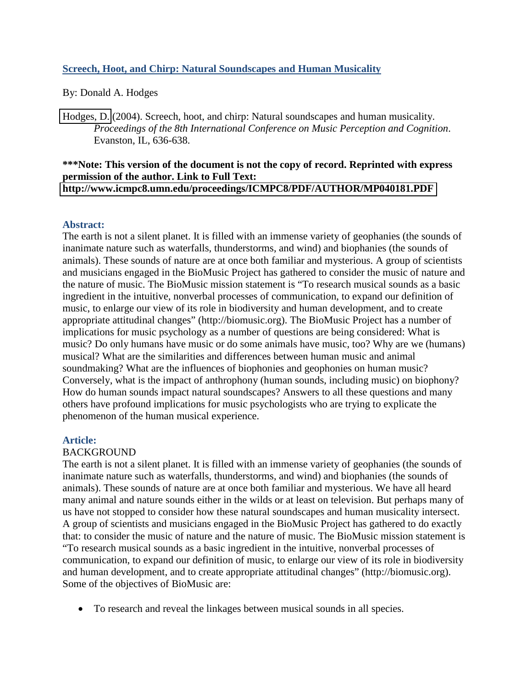## **Screech, Hoot, and Chirp: Natural Soundscapes and Human Musicality**

By: Donald A. Hodges

[Hodges, D.](http://libres.uncg.edu/ir/clist.aspx?id=2915) (2004). Screech, hoot, and chirp: Natural soundscapes and human musicality. *Proceedings of the 8th International Conference on Music Perception and Cognition*. Evanston, IL, 636-638.

#### **\*\*\*Note: This version of the document is not the copy of record. Reprinted with express permission of the author. Link to Full Text: <http://www.icmpc8.umn.edu/proceedings/ICMPC8/PDF/AUTHOR/MP040181.PDF>**

## **Abstract:**

The earth is not a silent planet. It is filled with an immense variety of geophanies (the sounds of inanimate nature such as waterfalls, thunderstorms, and wind) and biophanies (the sounds of animals). These sounds of nature are at once both familiar and mysterious. A group of scientists and musicians engaged in the BioMusic Project has gathered to consider the music of nature and the nature of music. The BioMusic mission statement is "To research musical sounds as a basic ingredient in the intuitive, nonverbal processes of communication, to expand our definition of music, to enlarge our view of its role in biodiversity and human development, and to create appropriate attitudinal changes" (http://biomusic.org). The BioMusic Project has a number of implications for music psychology as a number of questions are being considered: What is music? Do only humans have music or do some animals have music, too? Why are we (humans) musical? What are the similarities and differences between human music and animal soundmaking? What are the influences of biophonies and geophonies on human music? Conversely, what is the impact of anthrophony (human sounds, including music) on biophony? How do human sounds impact natural soundscapes? Answers to all these questions and many others have profound implications for music psychologists who are trying to explicate the phenomenon of the human musical experience.

### **Article:**

### BACKGROUND

The earth is not a silent planet. It is filled with an immense variety of geophanies (the sounds of inanimate nature such as waterfalls, thunderstorms, and wind) and biophanies (the sounds of animals). These sounds of nature are at once both familiar and mysterious. We have all heard many animal and nature sounds either in the wilds or at least on television. But perhaps many of us have not stopped to consider how these natural soundscapes and human musicality intersect. A group of scientists and musicians engaged in the BioMusic Project has gathered to do exactly that: to consider the music of nature and the nature of music. The BioMusic mission statement is "To research musical sounds as a basic ingredient in the intuitive, nonverbal processes of communication, to expand our definition of music, to enlarge our view of its role in biodiversity and human development, and to create appropriate attitudinal changes" (http://biomusic.org). Some of the objectives of BioMusic are:

• To research and reveal the linkages between musical sounds in all species.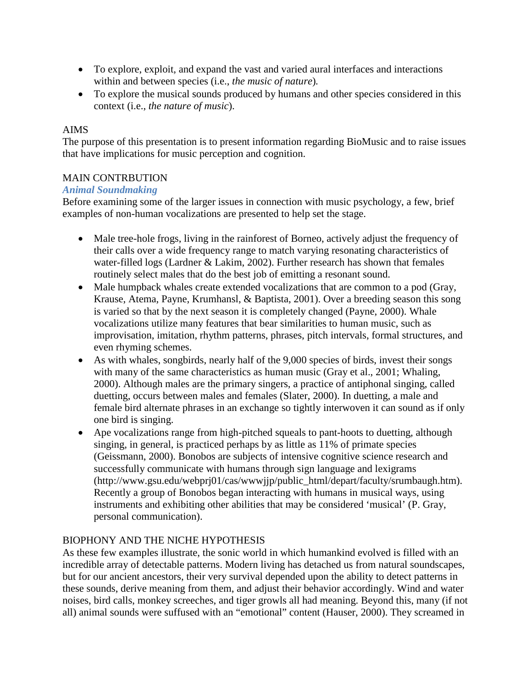- To explore, exploit, and expand the vast and varied aural interfaces and interactions within and between species (i.e., *the music of nature*)*.*
- To explore the musical sounds produced by humans and other species considered in this context (i.e., *the nature of music*).

# AIMS

The purpose of this presentation is to present information regarding BioMusic and to raise issues that have implications for music perception and cognition.

## MAIN CONTRBUTION

## *Animal Soundmaking*

Before examining some of the larger issues in connection with music psychology, a few, brief examples of non-human vocalizations are presented to help set the stage.

- Male tree-hole frogs, living in the rainforest of Borneo, actively adjust the frequency of their calls over a wide frequency range to match varying resonating characteristics of water-filled logs (Lardner & Lakim, 2002). Further research has shown that females routinely select males that do the best job of emitting a resonant sound.
- Male humpback whales create extended vocalizations that are common to a pod (Gray, Krause, Atema, Payne, Krumhansl, & Baptista, 2001). Over a breeding season this song is varied so that by the next season it is completely changed (Payne, 2000). Whale vocalizations utilize many features that bear similarities to human music, such as improvisation, imitation, rhythm patterns, phrases, pitch intervals, formal structures, and even rhyming schemes.
- As with whales, songbirds, nearly half of the 9,000 species of birds, invest their songs with many of the same characteristics as human music (Gray et al., 2001; Whaling, 2000). Although males are the primary singers, a practice of antiphonal singing, called duetting, occurs between males and females (Slater, 2000). In duetting, a male and female bird alternate phrases in an exchange so tightly interwoven it can sound as if only one bird is singing.
- Ape vocalizations range from high-pitched squeals to pant-hoots to duetting, although singing, in general, is practiced perhaps by as little as 11% of primate species (Geissmann, 2000). Bonobos are subjects of intensive cognitive science research and successfully communicate with humans through sign language and lexigrams (http://www.gsu.edu/webprj01/cas/wwwjjp/public\_html/depart/faculty/srumbaugh.htm). Recently a group of Bonobos began interacting with humans in musical ways, using instruments and exhibiting other abilities that may be considered 'musical' (P. Gray, personal communication).

# BIOPHONY AND THE NICHE HYPOTHESIS

As these few examples illustrate, the sonic world in which humankind evolved is filled with an incredible array of detectable patterns. Modern living has detached us from natural soundscapes, but for our ancient ancestors, their very survival depended upon the ability to detect patterns in these sounds, derive meaning from them, and adjust their behavior accordingly. Wind and water noises, bird calls, monkey screeches, and tiger growls all had meaning. Beyond this, many (if not all) animal sounds were suffused with an "emotional" content (Hauser, 2000). They screamed in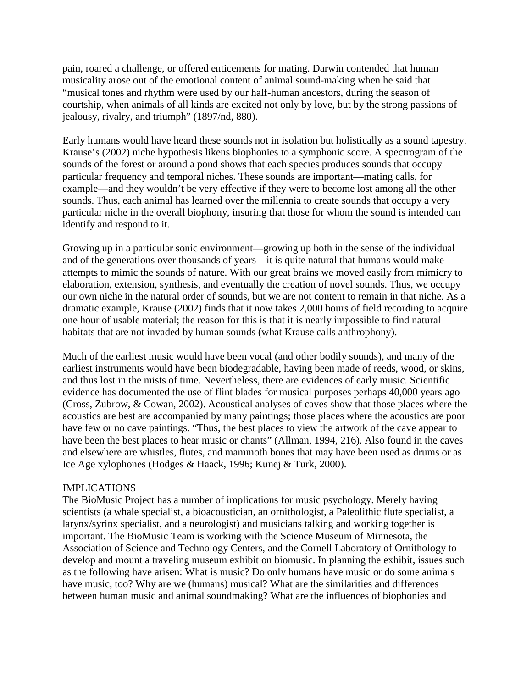pain, roared a challenge, or offered enticements for mating. Darwin contended that human musicality arose out of the emotional content of animal sound-making when he said that "musical tones and rhythm were used by our half-human ancestors, during the season of courtship, when animals of all kinds are excited not only by love, but by the strong passions of jealousy, rivalry, and triumph" (1897/nd, 880).

Early humans would have heard these sounds not in isolation but holistically as a sound tapestry. Krause's (2002) niche hypothesis likens biophonies to a symphonic score. A spectrogram of the sounds of the forest or around a pond shows that each species produces sounds that occupy particular frequency and temporal niches. These sounds are important—mating calls, for example—and they wouldn't be very effective if they were to become lost among all the other sounds. Thus, each animal has learned over the millennia to create sounds that occupy a very particular niche in the overall biophony, insuring that those for whom the sound is intended can identify and respond to it.

Growing up in a particular sonic environment—growing up both in the sense of the individual and of the generations over thousands of years—it is quite natural that humans would make attempts to mimic the sounds of nature. With our great brains we moved easily from mimicry to elaboration, extension, synthesis, and eventually the creation of novel sounds. Thus, we occupy our own niche in the natural order of sounds, but we are not content to remain in that niche. As a dramatic example, Krause (2002) finds that it now takes 2,000 hours of field recording to acquire one hour of usable material; the reason for this is that it is nearly impossible to find natural habitats that are not invaded by human sounds (what Krause calls anthrophony).

Much of the earliest music would have been vocal (and other bodily sounds), and many of the earliest instruments would have been biodegradable, having been made of reeds, wood, or skins, and thus lost in the mists of time. Nevertheless, there are evidences of early music. Scientific evidence has documented the use of flint blades for musical purposes perhaps 40,000 years ago (Cross, Zubrow, & Cowan, 2002). Acoustical analyses of caves show that those places where the acoustics are best are accompanied by many paintings; those places where the acoustics are poor have few or no cave paintings. "Thus, the best places to view the artwork of the cave appear to have been the best places to hear music or chants" (Allman, 1994, 216). Also found in the caves and elsewhere are whistles, flutes, and mammoth bones that may have been used as drums or as Ice Age xylophones (Hodges & Haack, 1996; Kunej & Turk, 2000).

#### IMPLICATIONS

The BioMusic Project has a number of implications for music psychology. Merely having scientists (a whale specialist, a bioacoustician, an ornithologist, a Paleolithic flute specialist, a larynx/syrinx specialist, and a neurologist) and musicians talking and working together is important. The BioMusic Team is working with the Science Museum of Minnesota, the Association of Science and Technology Centers, and the Cornell Laboratory of Ornithology to develop and mount a traveling museum exhibit on biomusic. In planning the exhibit, issues such as the following have arisen: What is music? Do only humans have music or do some animals have music, too? Why are we (humans) musical? What are the similarities and differences between human music and animal soundmaking? What are the influences of biophonies and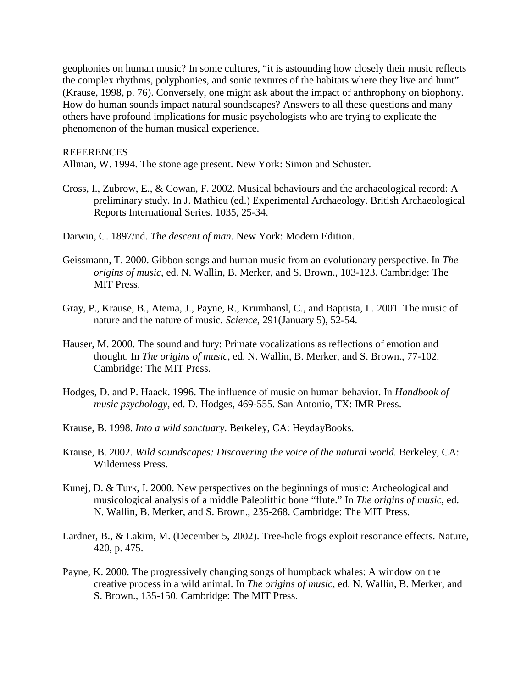geophonies on human music? In some cultures, "it is astounding how closely their music reflects the complex rhythms, polyphonies, and sonic textures of the habitats where they live and hunt" (Krause, 1998, p. 76). Conversely, one might ask about the impact of anthrophony on biophony. How do human sounds impact natural soundscapes? Answers to all these questions and many others have profound implications for music psychologists who are trying to explicate the phenomenon of the human musical experience.

#### **REFERENCES**

Allman, W. 1994. The stone age present. New York: Simon and Schuster.

- Cross, I., Zubrow, E., & Cowan, F. 2002. Musical behaviours and the archaeological record: A preliminary study. In J. Mathieu (ed.) Experimental Archaeology. British Archaeological Reports International Series. 1035, 25-34.
- Darwin, C. 1897/nd. *The descent of man*. New York: Modern Edition.
- Geissmann, T. 2000. Gibbon songs and human music from an evolutionary perspective. In *The origins of music*, ed. N. Wallin, B. Merker, and S. Brown., 103-123. Cambridge: The MIT Press.
- Gray, P., Krause, B., Atema, J., Payne, R., Krumhansl, C., and Baptista, L. 2001. The music of nature and the nature of music. *Science*, 291(January 5), 52-54.
- Hauser, M. 2000. The sound and fury: Primate vocalizations as reflections of emotion and thought. In *The origins of music*, ed. N. Wallin, B. Merker, and S. Brown., 77-102. Cambridge: The MIT Press.
- Hodges, D. and P. Haack. 1996. The influence of music on human behavior. In *Handbook of music psychology*, ed. D. Hodges, 469-555. San Antonio, TX: IMR Press.
- Krause, B. 1998. *Into a wild sanctuary*. Berkeley, CA: HeydayBooks.
- Krause, B. 2002. *Wild soundscapes: Discovering the voice of the natural world.* Berkeley, CA: Wilderness Press.
- Kunej, D. & Turk, I. 2000. New perspectives on the beginnings of music: Archeological and musicological analysis of a middle Paleolithic bone "flute." In *The origins of music*, ed. N. Wallin, B. Merker, and S. Brown., 235-268. Cambridge: The MIT Press.
- Lardner, B., & Lakim, M. (December 5, 2002). Tree-hole frogs exploit resonance effects. Nature, 420, p. 475.
- Payne, K. 2000. The progressively changing songs of humpback whales: A window on the creative process in a wild animal. In *The origins of music*, ed. N. Wallin, B. Merker, and S. Brown., 135-150. Cambridge: The MIT Press.